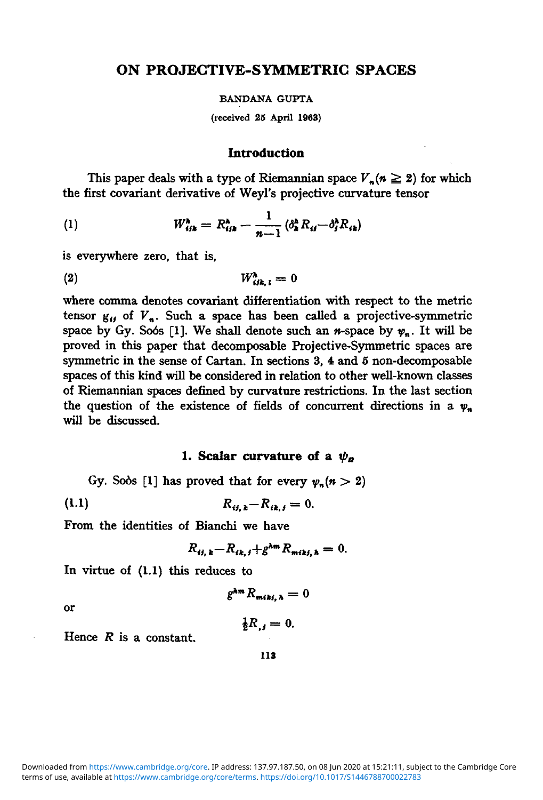# **ON PROJECTIVE-SYMMETRIC SPACES**

#### **BANDANA GUPTA**

**(received 25 April 1963)**

## **Introduction**

This paper deals with a type of Riemannian space  $V_n(n \geq 2)$  for which the first covariant derivative of Weyl's projective curvature tensor

(1) 
$$
W_{ijk}^{\lambda} = R_{ijk}^{\lambda} - \frac{1}{n-1} (\delta_{k}^{\lambda} R_{ij} - \delta_{j}^{\lambda} R_{ik})
$$

is everywhere zero, that is,

$$
(2) \t W_{ijk,1}^{\lambda} = 0
$$

where comma denotes covariant differentiation with respect to the metric tensor  $g_{ij}$  of  $V_n$ . Such a space has been called a projective-symmetric space by Gy. Soos [1]. We shall denote such an  $n$ -space by  $\psi_n$ . It will be proved in this paper that decomposable Projective-Symmetric spaces are symmetric in the sense of Cartan. In sections 3, 4 and 5 non-decomposable spaces of this kind will be considered in relation to other well-known classes of Riemannian spaces defined by curvature restrictions. In the last section the question of the existence of fields of concurrent directions in a  $\psi_n$ will be discussed.

#### **1. Scalar curvature of a**  $\psi_n$

Gy. Sods [1] has proved that for every  $\nu_n(n > 2)$ 

(1.1) 
$$
R_{ij,k} - R_{ik,j} = 0.
$$

From the identities of Bianchi we have

$$
R_{ij,k}-R_{ik,j}+g^{km}R_{mikj,k}=0.
$$

In virtue of (1.1) this reduces to

$$
g^{\lambda m}R_{miki, h}=0
$$

or

$$
\frac{1}{2}R_{,i}=0.
$$

terms of use, available at [https://www.cambridge.org/core/terms.](https://www.cambridge.org/core/terms) <https://doi.org/10.1017/S1446788700022783> Downloaded from [https://www.cambridge.org/core.](https://www.cambridge.org/core) IP address: 137.97.187.50, on 08 Jun 2020 at 15:21:11, subject to the Cambridge Core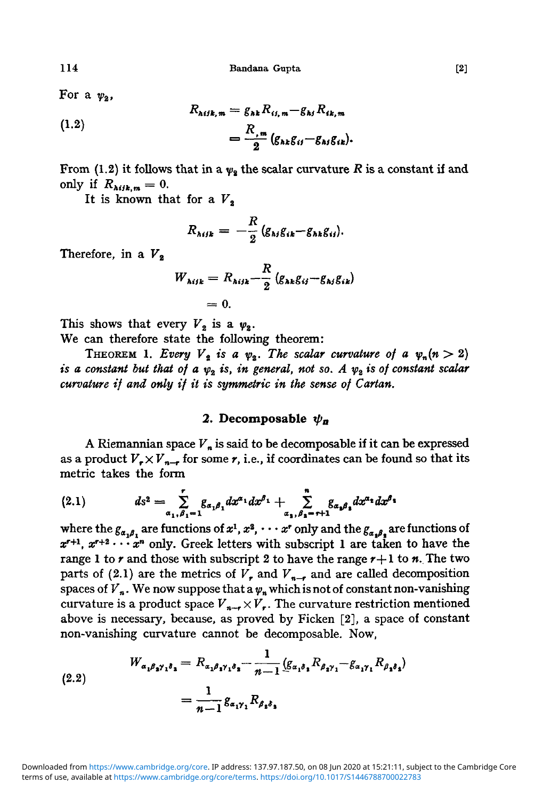For a  $\psi_2$ ,

(1.2)  
\n
$$
R_{\text{Mik},m} = g_{\text{hk}} R_{\text{ii},m} - g_{\text{hl}} R_{\text{ik},m}
$$
\n
$$
= \frac{R_{\text{m}}}{2} (g_{\text{hk}} g_{\text{ii}} - g_{\text{hl}} g_{\text{ik}}).
$$

From (1.2) it follows that in a  $\psi_2$  the scalar curvature *R* is a constant if and only if  $R_{\text{high},m} = 0$ .

It is known that for a  $V_3$ 

$$
R_{\lambda ijk} = -\frac{R}{2} (g_{\lambda j} g_{ik} - g_{\lambda k} g_{ij}).
$$

Therefore, in a  $V_2$ 

$$
W_{\lambda ijk} = R_{\lambda ijk} - \frac{R}{2} (g_{\lambda k} g_{ij} - g_{\lambda j} g_{ik})
$$
  
= 0.

This shows that every  $V_2$  is a  $\psi_2$ .

We can therefore state the following theorem:

THEOREM 1. Every  $V_2$  is a  $\psi_2$ . The scalar curvature of a  $\psi_n(n>2)$ *is a constant but that of a*  $\psi_2$  *is, in general, not so. A*  $\psi_2$  *is of constant scalar curvature if and only if it is symmetric in the sense of Cartan.*

## 2. Decomposable  $\psi_n$

A Riemannian space  $V<sub>n</sub>$  is said to be decomposable if it can be expressed as a product  $V_r \times V_{n-r}$  for some r, i.e., if coordinates can be found so that its metric takes the form

$$
(2.1) \t\t ds^{2} = \sum_{\alpha_{1},\beta_{1}=1}^{r} g_{\alpha_{1}\beta_{1}} dx^{\alpha_{1}} dx^{\beta_{1}} + \sum_{\alpha_{1},\beta_{1}=r+1}^{n} g_{\alpha_{2}\beta_{2}} dx^{\alpha_{1}} dx^{\beta_{1}}
$$

where the  $g_{\alpha,\beta}$ , are functions of  $x^1, x^2, \cdots x^r$  only and the  $g_{\alpha,\beta}$ , are functions of  $x^{r+1}$ ,  $x^{r+2}$   $\cdots$   $x^n$  only. Greek letters with subscript 1 are taken to have the range 1 to  $r$  and those with subscript 2 to have the range  $r+1$  to  $n$ . The two parts of (2.1) are the metrics of  $V_r$ , and  $V_{n-r}$  and are called decomposition spaces of  $V_n$ . We now suppose that a  $\psi_n$  which is not of constant non-vanishing curvature is a product space  $V_{n-r} \times V_r$ . The curvature restriction mentioned above is necessary, because, as proved by Ficken [2], a space of constant non-vanishing curvature cannot be decomposable. Now,

$$
(2.2) \t W_{\alpha_1 \beta_2 \gamma_1 \delta_3} = R_{\alpha_1 \beta_1 \gamma_1 \delta_3} - \frac{1}{n-1} (g_{\alpha_1 \delta_1} R_{\beta_2 \gamma_1} - g_{\alpha_1 \gamma_1} R_{\beta_3 \delta_3})
$$

$$
= \frac{1}{n-1} g_{\alpha_1 \gamma_1} R_{\beta_3 \delta_3}
$$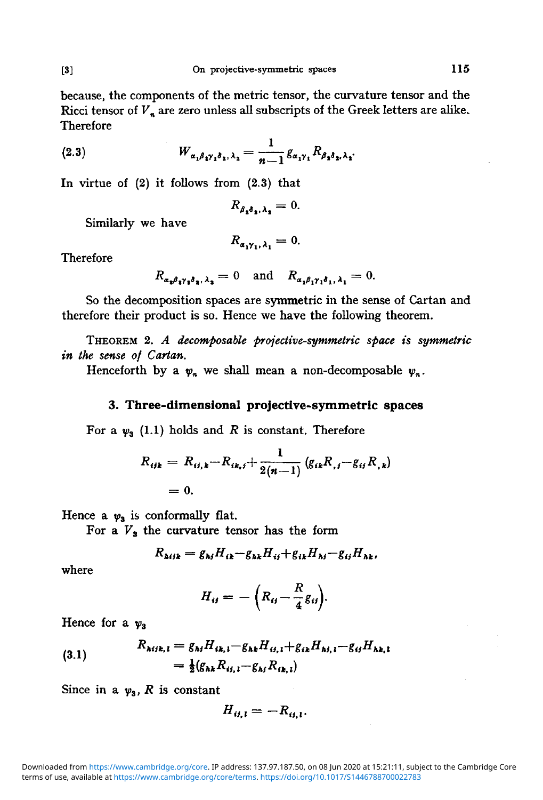because, the components of the metric tensor, the curvature tensor and the Ricci tensor of  $V_n$  are zero unless all subscripts of the Greek letters are alike. Therefore

(2.3) 
$$
W_{\alpha_1\beta_1\gamma_1\delta_1,\lambda_2} = \frac{1}{n-1} g_{\alpha_1\gamma_1} R_{\beta_2\delta_2,\lambda_2}.
$$

In virtue of (2) it follows from (2.3) that

$$
R_{\beta_2\delta_3,\lambda_2}=0.
$$

Similarly we have

$$
R_{\alpha_1\gamma_1,\,\lambda_1}=0.
$$

Therefore

$$
R_{\alpha_2\beta_1\gamma_2\delta_2,\lambda_2}=0 \text{ and } R_{\alpha_1\beta_1\gamma_1\delta_1,\lambda_1}=0.
$$

So the decomposition spaces are symmetric in the sense of Cartan and therefore their product is so. Hence we have the following theorem.

THEOREM 2. *A decomposable projective-symmetric space is symmetric in the sense of Cartan.*

Henceforth by a  $\psi_n$  we shall mean a non-decomposable  $\psi_n$ .

#### **3. Three-dimensional projective-symmetric spaces**

For a  $\psi_3$  (1.1) holds and *R* is constant. Therefore

$$
R_{ijk} = R_{ij,k} - R_{ik,j} + \frac{1}{2(n-1)} (g_{ik}R_{,j} - g_{ij}R_{,k})
$$
  
= 0.

Hence a  $\psi_3$  is conformally flat.

For a  $V_3$  the curvature tensor has the form

$$
R_{\lambda ijk} = g_{\lambda j} H_{ik} - g_{\lambda k} H_{ij} + g_{ik} H_{kj} - g_{ij} H_{\lambda k},
$$

where

$$
H_{ij} = -\left(R_{ij} - \frac{R}{4}g_{ij}\right).
$$

Hence for a  $\psi_3$ 

(3.1) 
$$
R_{Mik, l} = g_{kj} H_{ik, l} - g_{hk} H_{ij, l} + g_{ik} H_{kj, l} - g_{ij} H_{hk, l} = \frac{1}{2} (g_{hk} R_{ij, l} - g_{kj} R_{ik, l})
$$

Since in a  $\psi_3$ , R is constant

$$
H_{ij,1} = -R_{ij,1}.
$$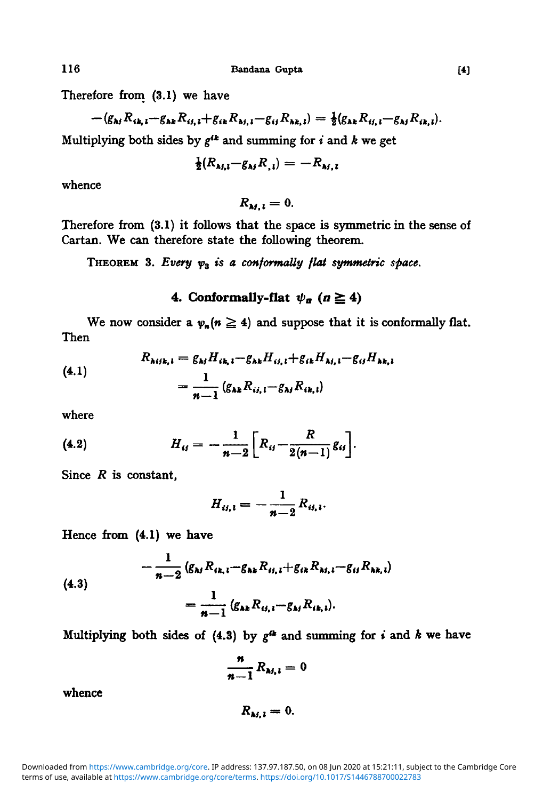Therefore from (3.1) we have

$$
-(g_{\lambda j} R_{ik,1} - g_{\lambda k} R_{ij,1} + g_{ik} R_{\lambda j,1} - g_{ij} R_{\lambda k,1}) = \frac{1}{2} (g_{\lambda k} R_{ij,1} - g_{\lambda j} R_{ik,1}).
$$

Multiplying both sides by *g\*<sup>k</sup>* and summing for *i* and *k* we get

$$
\frac{1}{2}(R_{\lambda i, i} - g_{\lambda i} R_{, i}) = -R_{\lambda i, i}
$$

whence

 $R_{M,l} = 0.$ 

Therefore from (3.1) it follows that the space is symmetric in the sense of Cartan. We can therefore state the following theorem.

THEOREM 3. Every  $\psi_3$  is a conformally flat symmetric space.

# 4. Conformally-flat  $\psi_n$  ( $n \ge 4$ )

We now consider a  $\psi_n(n \ge 4)$  and suppose that it is conformally flat. Then

(4.1) 
$$
R_{\lambda i j k, i} = g_{\lambda i} H_{i k, i} - g_{\lambda k} H_{i i, i} + g_{i k} H_{\lambda i, i} - g_{i j} H_{\lambda k, i}
$$

$$
= \frac{1}{n-1} (g_{\lambda k} R_{i i, i} - g_{\lambda j} R_{i k, i})
$$

where

(4.2) 
$$
H_{ij} = -\frac{1}{n-2} \left[ R_{ij} - \frac{R}{2(n-1)} g_{ij} \right].
$$

Since *R* is constant,

$$
H_{ii,1}=-\frac{1}{n-2}R_{ii,1}.
$$

Hence from (4.1) we have

$$
-\frac{1}{n-2} (g_{\lambda j} R_{ik, i} - g_{\lambda k} R_{ij, i} + g_{ik} R_{\lambda j, i} - g_{ij} R_{\lambda k, i})
$$
  
= 
$$
\frac{1}{n-1} (g_{\lambda k} R_{ij, i} - g_{\lambda j} R_{ik, i}).
$$

Multiplying both sides of  $(4.3)$  by  $g^{ik}$  and summing for *i* and *k* we have

$$
\frac{n}{n-1}R_{M, i}=0
$$

whence

 $R_{\lambda i, i} = 0.$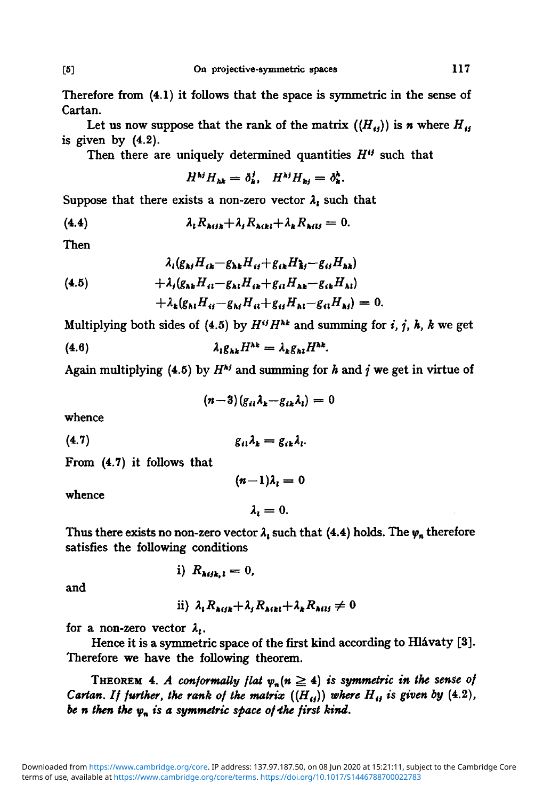Therefore from (4.1) it follows that the space is symmetric in the sense of Cartan.

Let us now suppose that the rank of the matrix  $((H_{ij}))$  is *n* where  $H_{ij}$ is given by  $(4.2)$ .

Then there are uniquely determined quantities *H"* such that

$$
H^{\mathbf{N}j}H_{\mathbf{N}k}=\delta_{\mathbf{k}}^j, \quad H^{\mathbf{N}j}H_{\mathbf{k}j}=\delta_{\mathbf{k}}^{\mathbf{k}}.
$$

Suppose that there exists a non-zero vector  $\lambda_1$  such that

$$
(4.4) \t\t\t  $\lambda_i R_{\lambda i j k} + \lambda_j R_{\lambda i k l} + \lambda_k R_{\lambda i l j} = 0.$
$$

Then

$$
4_{i}(g_{\lambda j}H_{ik}-g_{\lambda k}H_{ij}+g_{ik}H_{kl}-g_{il}H_{\lambda k})
$$
  
(4.5) 
$$
+ \lambda_{j}(g_{\lambda k}H_{il}-g_{\lambda l}H_{ik}+g_{il}H_{\lambda k}-g_{ik}H_{\lambda l})
$$

$$
+ \lambda_{k}(g_{\lambda l}H_{ij}-g_{\lambda j}H_{il}+g_{ij}H_{kl}-g_{il}H_{\lambda j})=0.
$$

Multiplying both sides of (4.5) by  $H^{ij}H^{hk}$  and summing for i, j, h, k we get

$$
\lambda_{l}g_{\lambda k}H^{\lambda k}=\lambda_{k}g_{\lambda l}H^{\lambda k}.
$$

Again multiplying (4.5) by  $H^{kj}$  and summing for *h* and *j* we get in virtue of

$$
(n-3)(g_{ii}\lambda_k-g_{ik}\lambda_l)=0
$$

whence

$$
(4.7) \t\t g_{ii}\lambda_k = g_{ik}\lambda_l.
$$

i)  $R_{Mik,i} = 0$ ,

From (4.7) it follows that

whence

$$
(n-1)\lambda_i = 0
$$

$$
\lambda_i = 0.
$$

Thus there exists no non-zero vector  $\lambda_1$  such that (4.4) holds. The  $\psi_n$  therefore satisfies the following conditions

and

ii) 
$$
\lambda_i R_{\lambda(i)k} + \lambda_j R_{\lambda(k)l} + \lambda_k R_{\lambda(l)l} \neq 0
$$

for a non-zero vector  $\lambda_i$ .

Hence it is a symmetric space of the first kind according to Hlávaty [3]. Therefore we have the following theorem.

THEOREM 4. A conformally flat  $\psi_n(n \geq 4)$  is symmetric in the sense of *Cartan. If further, the rank of the matrix*  $((H_{ij}))$  where  $H_{ij}$  is given by (4.2), *be n then the*  $\psi_n$  *is a symmetric space of the first kind.*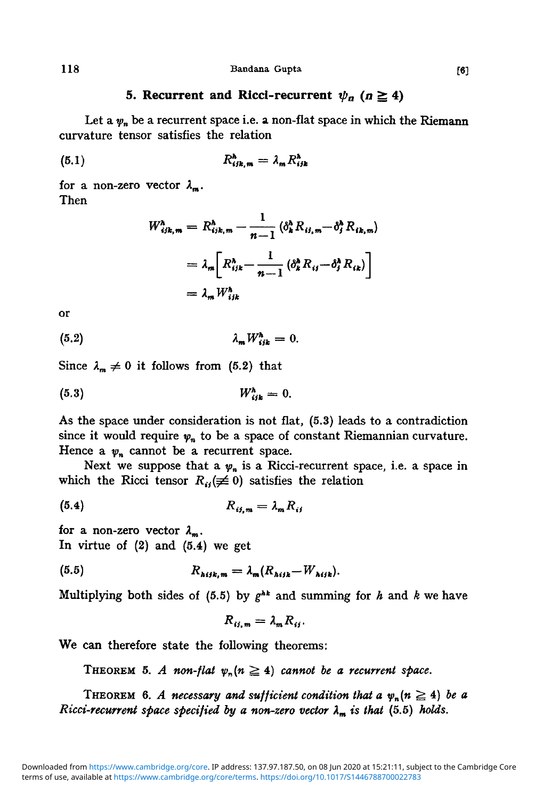# **5. Recurrent and Ricci-recurrent**  $\psi_a$  ( $n \ge 4$ )

Let a  $\psi_n$  be a recurrent space i.e. a non-flat space in which the Riemann curvature tensor satisfies the relation

$$
R_{ijk,m}^h = \lambda_m R_{ij}^h
$$

for a non-zero vector  $\lambda_m$ . Then

$$
W_{ijk,m}^h = R_{ijk,m}^h - \frac{1}{n-1} (\delta_k^h R_{ij,m} - \delta_j^h R_{ik,m})
$$
  
=  $\lambda_m \left[ R_{ijk}^h - \frac{1}{n-1} (\delta_k^h R_{ij} - \delta_j^h R_{ik}) \right]$   
=  $\lambda_m W_{ijk}^h$ 

or

$$
\lambda_m W_{ijk}^{\lambda} = 0.
$$

Since  $\lambda_m \neq 0$  it follows from (5.2) that

$$
(5.3) \t W_{ijk}^h = 0.
$$

As the space under consideration is not flat, (5.3) leads to a contradiction since it would require  $\psi_n$  to be a space of constant Riemannian curvature. Hence a  $\psi_n$  cannot be a recurrent space.

Next we suppose that a  $\psi_n$  is a Ricci-recurrent space, i.e. a space in which the Ricci tensor  $R_{ii}(\neq 0)$  satisfies the relation

$$
(5.4) \t\t R_{ij,m} = \lambda_m R_{ij}
$$

for a non-zero vector  $\lambda_m$ . In virtue of  $(2)$  and  $(5.4)$  we get

(5.5) 
$$
R_{hijk,m} = \lambda_m (R_{hijk} - W_{hijk}).
$$

Multiplying both sides of (5.5) by *g hk* and summing for *h* and *k* we have

$$
R_{ij,m} = \lambda_m R_{ij}.
$$

We can therefore state the following theorems:

THEOREM 5. A non-flat  $\psi_n(n \geq 4)$  cannot be a recurrent space.

THEOREM 6. A necessary and sufficient condition that a  $\psi_n(n \geq 4)$  be a *Ricci-recurrent space specified by a non-zero vector*  $\lambda_m$  *is that* (5.5) *holds.*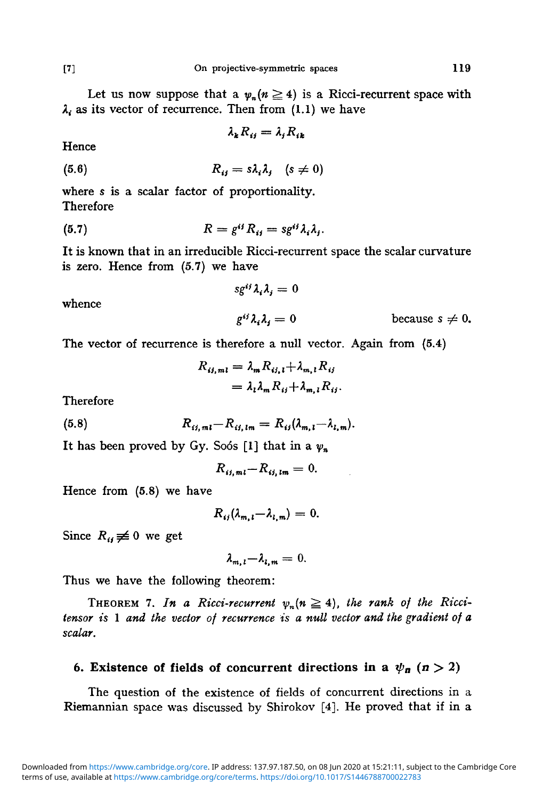Let us now suppose that a  $\psi_n(n \geq 4)$  is a Ricci-recurrent space with  $\lambda_i$  as its vector of recurrence. Then from (1.1) we have

$$
\lambda_k R_{ij} = \lambda_j R_{ik}
$$

Hence

$$
(5.6) \t\t R_{ij} = s\lambda_i\lambda_j \t (s \neq 0)
$$

where s is a scalar factor of proportionality. Therefore

(5.7) 
$$
R = g^{ij} R_{ij} = s g^{ij} \lambda_i \lambda_j.
$$

It is known that in an irreducible Ricci-recurrent space the scalar curvature is zero. Hence from (5.7) we have

 $sg^{ij}\lambda_i\lambda_j=0$ 

whence

 $g^{ij}\lambda_i\lambda_j = 0$  because  $s \neq 0$ .

The vector of recurrence is therefore a null vector. Again from (5.4)

$$
R_{ij,ml} = \lambda_m R_{ij, l} + \lambda_{m, l} R_{ij}
$$
  
=  $\lambda_l \lambda_m R_{ij} + \lambda_{m, l} R_{ij}$ .

Therefore

(5.8) 
$$
R_{ij,ml} - R_{ij,lm} = R_{ij} (\lambda_{m,l} - \lambda_{l,m}).
$$

It has been proved by Gy. Soos [1] that in a  $\psi_n$ 

$$
R_{ij,ml} - R_{ij,lm} = 0.
$$

Hence from (5.8) we have

$$
R_{ij}(\lambda_{m,i}-\lambda_{l,m})=0.
$$

Since  $R_{ij} \neq 0$  we get

$$
\lambda_{m, l} - \lambda_{l, m} = 0.
$$

Thus we have the following theorem:

THEOREM 7. In a Ricci-recurrent  $\psi_n(n \geq 4)$ , the rank of the Ricci*tensor is* 1 *and the vector of recurrence is a null vector and the gradient of a scalar.*

# **6. Existence of fields of concurrent directions in a**  $\psi_n$  **(** $n > 2$ **)**

The question of the existence of fields of concurrent directions in a Riemannian space was discussed by Shirokov [4]. He proved that if in a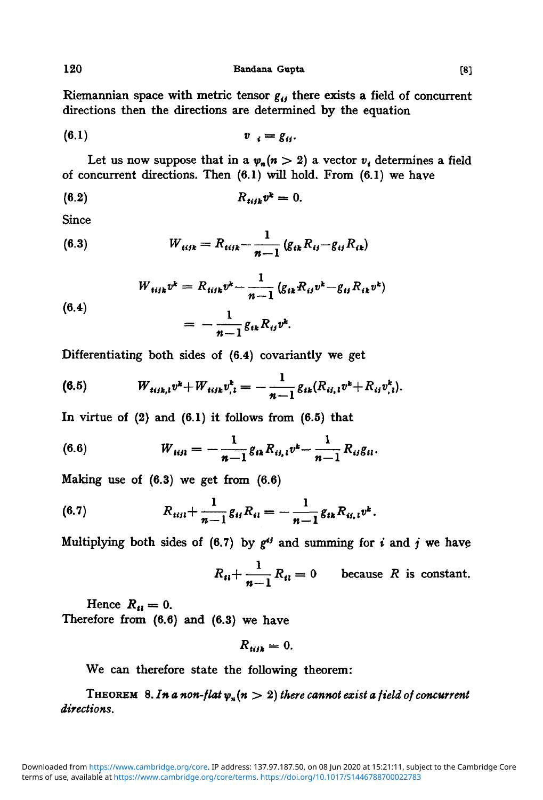120 **Bandana Gupta** [8]

Riemannian space with metric tensor  $g_{ij}$  there exists a field of concurrent directions then the directions are determined by the equation

$$
(6.1) \t v_i = g_{ij}.
$$

Let us now suppose that in a  $\psi_n(n > 2)$  a vector  $\nu_i$ , determines a field of concurrent directions. Then  $(6.1)$  will hold. From  $(6.1)$  we have

$$
(6.2) \t\t R_{tijk}v^k=0.
$$

Since

(6.3) 
$$
W_{tijk} = R_{tijk} - \frac{1}{n-1} (g_{tk} R_{ij} - g_{ti} R_{ik})
$$

(6.4)  

$$
W_{tijk}v^k = R_{tijk}v^k - \frac{1}{n-1}(g_{ik}R_{ij}v^k - g_{ij}R_{ik}v^k)
$$

$$
= -\frac{1}{n-1}g_{ik}R_{ij}v^k.
$$

Differentiating both sides of (6.4) covariantly we get

(6.5) 
$$
W_{i_{ijk,l}}v^k + W_{i_{ijk}}v^k_{,l} = -\frac{1}{n-1}g_{ik}(R_{ij,l}v^k + R_{ij}v^k_{,l}).
$$

In virtue of  $(2)$  and  $(6.1)$  it follows from  $(6.5)$  that

(6.6) 
$$
W_{iijl} = -\frac{1}{n-1}g_{ik}R_{ij,l}v^k - \frac{1}{n-1}R_{ij}g_{il}.
$$

Making use of  $(6.3)$  we get from  $(6.6)$ 

(6.7) 
$$
R_{iijl} + \frac{1}{n-1} g_{ij} R_{il} = -\frac{1}{n-1} g_{ik} R_{ij,l} v^k.
$$

Multiplying both sides of  $(6.7)$  by  $g^{ij}$  and summing for i and j we have

$$
R_{ii} + \frac{1}{n-1} R_{ii} = 0
$$
 because *R* is constant.

Hence  $R_{ii} = 0$ . Therefore from  $(6.6)$  and  $(6.3)$  we have

 $R_{\mu\mu} = 0.$ 

We can therefore state the following theorem:

THEOREM 8. In a non-flat  $\psi_n(n > 2)$  there cannot exist a field of concurrent *directions.*